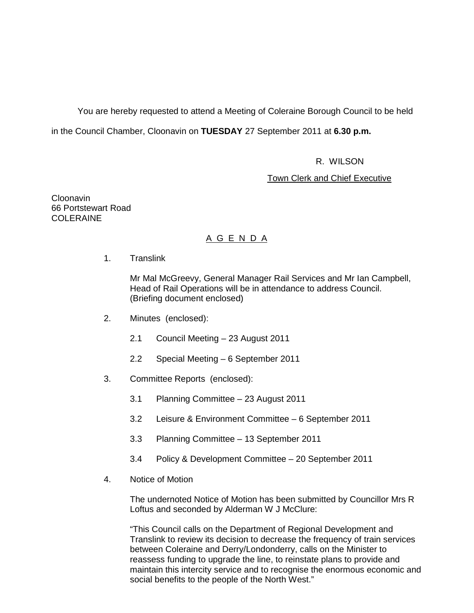You are hereby requested to attend a Meeting of Coleraine Borough Council to be held

in the Council Chamber, Cloonavin on **TUESDAY** 27 September 2011 at **6.30 p.m.** 

R. WILSON

**Town Clerk and Chief Executive** 

Cloonavin 66 Portstewart Road **COLERAINE** 

# A G E N D A

1. Translink

 Mr Mal McGreevy, General Manager Rail Services and Mr Ian Campbell, Head of Rail Operations will be in attendance to address Council. (Briefing document enclosed)

- 2. Minutes (enclosed):
	- 2.1 Council Meeting 23 August 2011
	- 2.2 Special Meeting 6 September 2011
- 3. Committee Reports (enclosed):
	- 3.1 Planning Committee 23 August 2011
	- 3.2 Leisure & Environment Committee 6 September 2011
	- 3.3 Planning Committee 13 September 2011
	- 3.4 Policy & Development Committee 20 September 2011
- 4. Notice of Motion

The undernoted Notice of Motion has been submitted by Councillor Mrs R Loftus and seconded by Alderman W J McClure:

"This Council calls on the Department of Regional Development and Translink to review its decision to decrease the frequency of train services between Coleraine and Derry/Londonderry, calls on the Minister to reassess funding to upgrade the line, to reinstate plans to provide and maintain this intercity service and to recognise the enormous economic and social benefits to the people of the North West."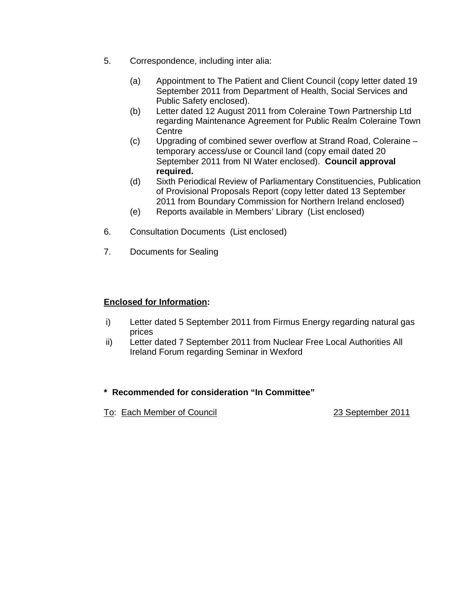- 5. Correspondence, including inter alia:
	- (a) Appointment to The Patient and Client Council (copy letter dated 19 September 2011 from Department of Health, Social Services and Public Safety enclosed).
	- (b) Letter dated 12 August 2011 from Coleraine Town Partnership Ltd regarding Maintenance Agreement for Public Realm Coleraine Town **Centre**
	- (c) Upgrading of combined sewer overflow at Strand Road, Coleraine temporary access/use or Council land (copy email dated 20 September 2011 from NI Water enclosed). **Council approval required.**
	- (d) Sixth Periodical Review of Parliamentary Constituencies, Publication of Provisional Proposals Report (copy letter dated 13 September 2011 from Boundary Commission for Northern Ireland enclosed)
	- (e) Reports available in Members' Library (List enclosed)
- 6. Consultation Documents (List enclosed)
- 7. Documents for Sealing

## **Enclosed for Information:**

- i) Letter dated 5 September 2011 from Firmus Energy regarding natural gas prices
- ii) Letter dated 7 September 2011 from Nuclear Free Local Authorities All Ireland Forum regarding Seminar in Wexford

# **\* Recommended for consideration "In Committee"**

To: Each Member of Council **23 September 2011**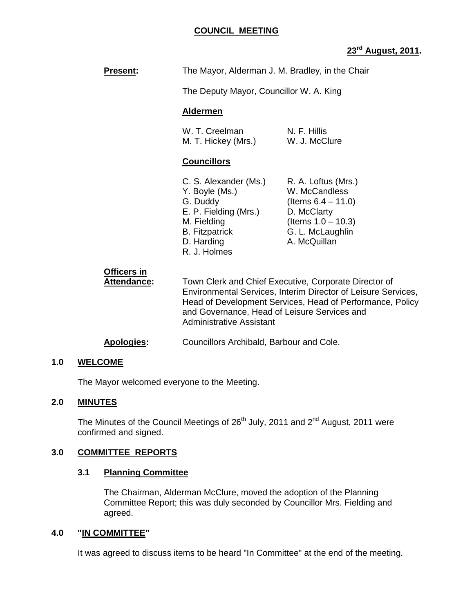## **COUNCIL MEETING**

# **23rd August, 2011.**

| <b>Present:</b>                   | The Mayor, Alderman J. M. Bradley, in the Chair                                                                                                                                                                                                                        |                                                                                                                                           |  |
|-----------------------------------|------------------------------------------------------------------------------------------------------------------------------------------------------------------------------------------------------------------------------------------------------------------------|-------------------------------------------------------------------------------------------------------------------------------------------|--|
|                                   | The Deputy Mayor, Councillor W. A. King                                                                                                                                                                                                                                |                                                                                                                                           |  |
|                                   | <b>Aldermen</b>                                                                                                                                                                                                                                                        |                                                                                                                                           |  |
|                                   | W. T. Creelman<br>M. T. Hickey (Mrs.)                                                                                                                                                                                                                                  | N. F. Hillis<br>W. J. McClure                                                                                                             |  |
|                                   | <b>Councillors</b>                                                                                                                                                                                                                                                     |                                                                                                                                           |  |
|                                   | C. S. Alexander (Ms.)<br>Y. Boyle (Ms.)<br>G. Duddy<br>E. P. Fielding (Mrs.)<br>M. Fielding<br><b>B.</b> Fitzpatrick<br>D. Harding<br>R. J. Holmes                                                                                                                     | R. A. Loftus (Mrs.)<br>W. McCandless<br>(Items $6.4 - 11.0$ )<br>D. McClarty<br>(Items $1.0 - 10.3$ )<br>G. L. McLaughlin<br>A. McQuillan |  |
| Officers in<br><b>Attendance:</b> | Town Clerk and Chief Executive, Corporate Director of<br>Environmental Services, Interim Director of Leisure Services,<br>Head of Development Services, Head of Performance, Policy<br>and Governance, Head of Leisure Services and<br><b>Administrative Assistant</b> |                                                                                                                                           |  |
| <b>Apologies:</b>                 | Councillors Archibald, Barbour and Cole.                                                                                                                                                                                                                               |                                                                                                                                           |  |

### **1.0 WELCOME**

The Mayor welcomed everyone to the Meeting.

## **2.0 MINUTES**

The Minutes of the Council Meetings of  $26<sup>th</sup>$  July, 2011 and  $2<sup>nd</sup>$  August, 2011 were confirmed and signed.

## **3.0 COMMITTEE REPORTS**

#### **3.1 Planning Committee**

 The Chairman, Alderman McClure, moved the adoption of the Planning Committee Report; this was duly seconded by Councillor Mrs. Fielding and agreed.

#### **4.0 "IN COMMITTEE"**

It was agreed to discuss items to be heard "In Committee" at the end of the meeting.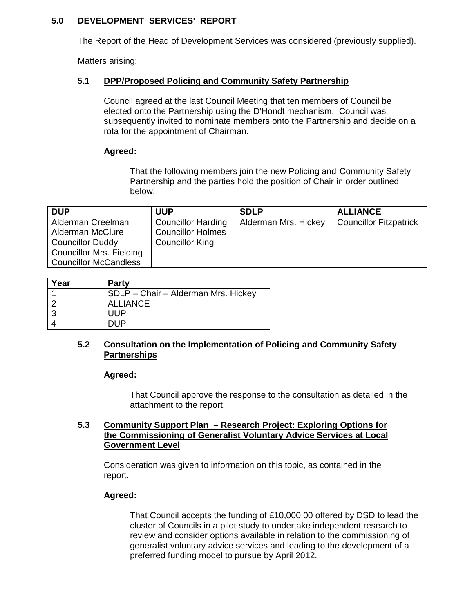# **5.0 DEVELOPMENT SERVICES' REPORT**

The Report of the Head of Development Services was considered (previously supplied).

Matters arising:

## **5.1 DPP/Proposed Policing and Community Safety Partnership**

 Council agreed at the last Council Meeting that ten members of Council be elected onto the Partnership using the D'Hondt mechanism. Council was subsequently invited to nominate members onto the Partnership and decide on a rota for the appointment of Chairman.

## **Agreed:**

 That the following members join the new Policing and Community Safety Partnership and the parties hold the position of Chair in order outlined below:

| <b>DUP</b>                   | <b>UUP</b>                | <b>SDLP</b>          | <b>ALLIANCE</b>               |
|------------------------------|---------------------------|----------------------|-------------------------------|
| Alderman Creelman            | <b>Councillor Harding</b> | Alderman Mrs. Hickey | <b>Councillor Fitzpatrick</b> |
| Alderman McClure             | <b>Councillor Holmes</b>  |                      |                               |
| <b>Councillor Duddy</b>      | <b>Councillor King</b>    |                      |                               |
| Councillor Mrs. Fielding     |                           |                      |                               |
| <b>Councillor McCandless</b> |                           |                      |                               |

| Year | <b>Party</b>                        |
|------|-------------------------------------|
|      | SDLP - Chair - Alderman Mrs. Hickey |
|      | <b>ALLIANCE</b>                     |
| 3    | <b>UUP</b>                          |
|      | DUP.                                |

## **5.2 Consultation on the Implementation of Policing and Community Safety Partnerships**

**Agreed:** 

 That Council approve the response to the consultation as detailed in the attachment to the report.

## **5.3 Community Support Plan – Research Project: Exploring Options for the Commissioning of Generalist Voluntary Advice Services at Local Government Level**

 Consideration was given to information on this topic, as contained in the report.

# **Agreed:**

 That Council accepts the funding of £10,000.00 offered by DSD to lead the cluster of Councils in a pilot study to undertake independent research to review and consider options available in relation to the commissioning of generalist voluntary advice services and leading to the development of a preferred funding model to pursue by April 2012.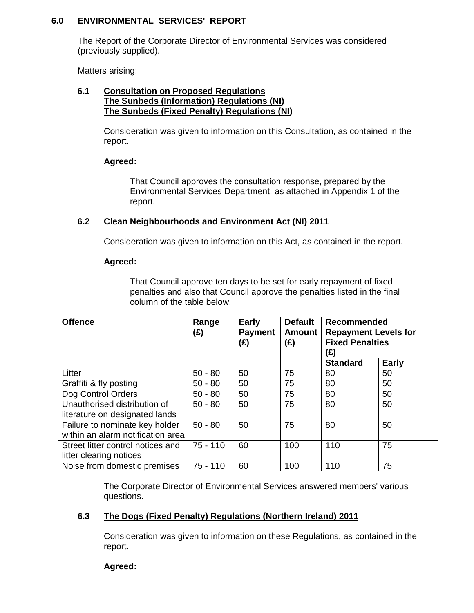## **6.0 ENVIRONMENTAL SERVICES' REPORT**

 The Report of the Corporate Director of Environmental Services was considered (previously supplied).

Matters arising:

#### **6.1 Consultation on Proposed Regulations The Sunbeds (Information) Regulations (NI) The Sunbeds (Fixed Penalty) Regulations (NI)**

 Consideration was given to information on this Consultation, as contained in the report.

### **Agreed:**

 That Council approves the consultation response, prepared by the Environmental Services Department, as attached in Appendix 1 of the report.

#### **6.2 Clean Neighbourhoods and Environment Act (NI) 2011**

Consideration was given to information on this Act, as contained in the report.

#### **Agreed:**

 That Council approve ten days to be set for early repayment of fixed penalties and also that Council approve the penalties listed in the final column of the table below.

| <b>Offence</b>                                                      | Range<br>(£) | <b>Early</b><br><b>Payment</b><br>$(\hat{E})$ | <b>Default</b><br><b>Amount</b><br>(E) | Recommended<br><b>Repayment Levels for</b><br><b>Fixed Penalties</b><br>(£) |              |
|---------------------------------------------------------------------|--------------|-----------------------------------------------|----------------------------------------|-----------------------------------------------------------------------------|--------------|
|                                                                     |              |                                               |                                        | <b>Standard</b>                                                             | <b>Early</b> |
| Litter                                                              | $50 - 80$    | 50                                            | 75                                     | 80                                                                          | 50           |
| Graffiti & fly posting                                              | $50 - 80$    | 50                                            | 75                                     | 80                                                                          | 50           |
| Dog Control Orders                                                  | $50 - 80$    | 50                                            | 75                                     | 80                                                                          | 50           |
| Unauthorised distribution of<br>literature on designated lands      | $50 - 80$    | 50                                            | 75                                     | 80                                                                          | 50           |
| Failure to nominate key holder<br>within an alarm notification area | $50 - 80$    | 50                                            | 75                                     | 80                                                                          | 50           |
| Street litter control notices and<br>litter clearing notices        | $75 - 110$   | 60                                            | 100                                    | 110                                                                         | 75           |
| Noise from domestic premises                                        | $75 - 110$   | 60                                            | 100                                    | 110                                                                         | 75           |

 The Corporate Director of Environmental Services answered members' various questions.

# **6.3 The Dogs (Fixed Penalty) Regulations (Northern Ireland) 2011**

 Consideration was given to information on these Regulations, as contained in the report.

**Agreed:**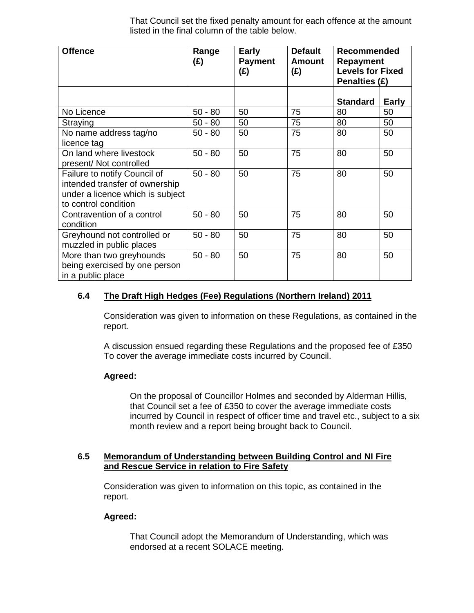That Council set the fixed penalty amount for each offence at the amount listed in the final column of the table below.

| <b>Offence</b>                                                                                                             | Range<br>(E) | <b>Early</b><br><b>Payment</b><br>(E) | <b>Default</b><br><b>Amount</b><br>(E) | <b>Recommended</b><br><b>Repayment</b><br><b>Levels for Fixed</b><br>Penalties (£) |              |
|----------------------------------------------------------------------------------------------------------------------------|--------------|---------------------------------------|----------------------------------------|------------------------------------------------------------------------------------|--------------|
|                                                                                                                            |              |                                       |                                        | <b>Standard</b>                                                                    | <b>Early</b> |
| No Licence                                                                                                                 | $50 - 80$    | 50                                    | 75                                     | 80                                                                                 | 50           |
| Straying                                                                                                                   | $50 - 80$    | 50                                    | 75                                     | 80                                                                                 | 50           |
| No name address tag/no<br>licence tag                                                                                      | $50 - 80$    | 50                                    | 75                                     | 80                                                                                 | 50           |
| On land where livestock<br>present/ Not controlled                                                                         | $50 - 80$    | 50                                    | 75                                     | 80                                                                                 | 50           |
| Failure to notify Council of<br>intended transfer of ownership<br>under a licence which is subject<br>to control condition | $50 - 80$    | 50                                    | 75                                     | 80                                                                                 | 50           |
| Contravention of a control<br>condition                                                                                    | $50 - 80$    | 50                                    | 75                                     | 80                                                                                 | 50           |
| Greyhound not controlled or<br>muzzled in public places                                                                    | $50 - 80$    | 50                                    | 75                                     | 80                                                                                 | 50           |
| More than two greyhounds<br>being exercised by one person<br>in a public place                                             | $50 - 80$    | 50                                    | 75                                     | 80                                                                                 | 50           |

# **6.4 The Draft High Hedges (Fee) Regulations (Northern Ireland) 2011**

 Consideration was given to information on these Regulations, as contained in the report.

 A discussion ensued regarding these Regulations and the proposed fee of £350 To cover the average immediate costs incurred by Council.

# **Agreed:**

 On the proposal of Councillor Holmes and seconded by Alderman Hillis, that Council set a fee of £350 to cover the average immediate costs incurred by Council in respect of officer time and travel etc., subject to a six month review and a report being brought back to Council.

### **6.5 Memorandum of Understanding between Building Control and NI Fire and Rescue Service in relation to Fire Safety**

 Consideration was given to information on this topic, as contained in the report.

# **Agreed:**

 That Council adopt the Memorandum of Understanding, which was endorsed at a recent SOLACE meeting.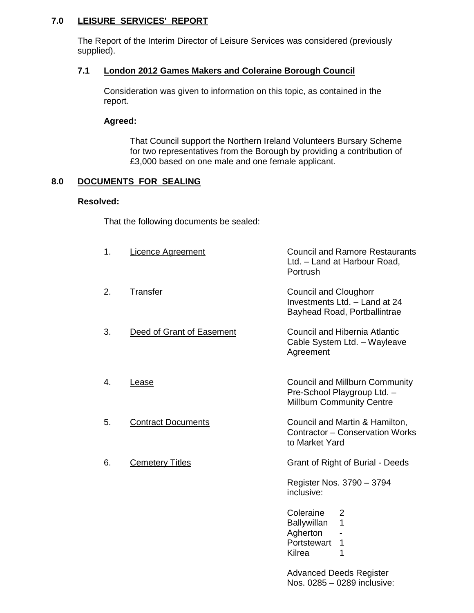# **7.0 LEISURE SERVICES' REPORT**

 The Report of the Interim Director of Leisure Services was considered (previously supplied).

## **7.1 London 2012 Games Makers and Coleraine Borough Council**

 Consideration was given to information on this topic, as contained in the report.

### **Agreed:**

 That Council support the Northern Ireland Volunteers Bursary Scheme for two representatives from the Borough by providing a contribution of £3,000 based on one male and one female applicant.

## **8.0 DOCUMENTS FOR SEALING**

## **Resolved:**

That the following documents be sealed:

| 1. | <b>Licence Agreement</b>  | <b>Council and Ramore Restaurants</b><br>Ltd. - Land at Harbour Road,<br>Portrush                         |
|----|---------------------------|-----------------------------------------------------------------------------------------------------------|
| 2. | Transfer                  | <b>Council and Cloughorr</b><br>Investments Ltd. - Land at 24<br>Bayhead Road, Portballintrae             |
| 3. | Deed of Grant of Easement | <b>Council and Hibernia Atlantic</b><br>Cable System Ltd. - Wayleave<br>Agreement                         |
| 4. | Lease                     | <b>Council and Millburn Community</b><br>Pre-School Playgroup Ltd. -<br><b>Millburn Community Centre</b>  |
| 5. | <b>Contract Documents</b> | Council and Martin & Hamilton,<br>Contractor - Conservation Works<br>to Market Yard                       |
| 6. | <b>Cemetery Titles</b>    | Grant of Right of Burial - Deeds                                                                          |
|    |                           | Register Nos. 3790 - 3794<br>inclusive:                                                                   |
|    |                           | Coleraine<br>$\overline{2}$<br>$\mathbf{1}$<br>Ballywillan<br>Agherton<br>Portstewart<br>1<br>1<br>Kilrea |
|    |                           | <b>Advanced Deeds Register</b>                                                                            |

Nos. 0285 – 0289 inclusive: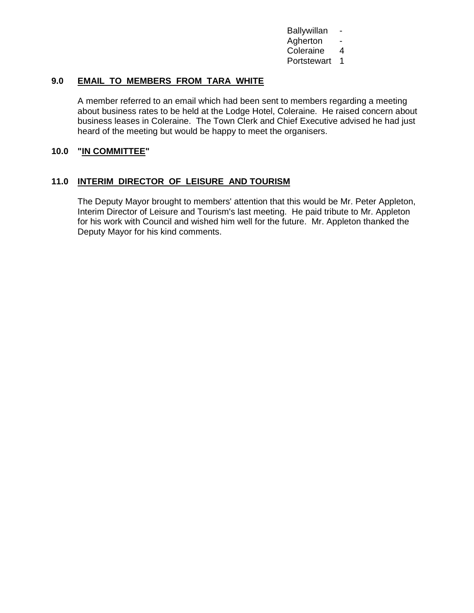**Ballywillan**  Agherton - Coleraine 4 Portstewart 1

## **9.0 EMAIL TO MEMBERS FROM TARA WHITE**

 A member referred to an email which had been sent to members regarding a meeting about business rates to be held at the Lodge Hotel, Coleraine. He raised concern about business leases in Coleraine. The Town Clerk and Chief Executive advised he had just heard of the meeting but would be happy to meet the organisers.

#### **10.0 "IN COMMITTEE"**

### **11.0 INTERIM DIRECTOR OF LEISURE AND TOURISM**

The Deputy Mayor brought to members' attention that this would be Mr. Peter Appleton, Interim Director of Leisure and Tourism's last meeting. He paid tribute to Mr. Appleton for his work with Council and wished him well for the future. Mr. Appleton thanked the Deputy Mayor for his kind comments.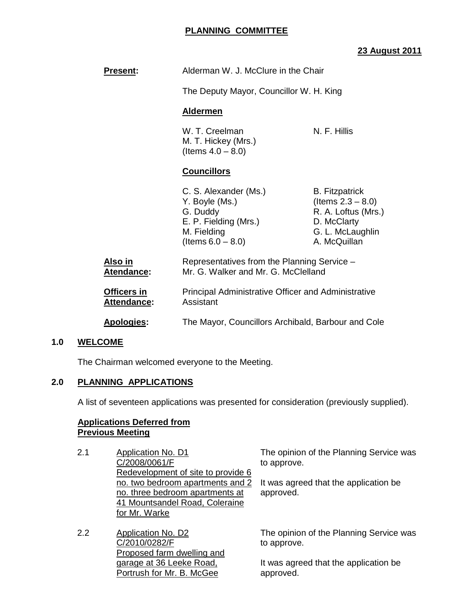## **PLANNING COMMITTEE**

# **23 August 2011**

| <b>Present:</b>                   | Alderman W. J. McClure in the Chair                                                                                 |                                                                                                                         |  |
|-----------------------------------|---------------------------------------------------------------------------------------------------------------------|-------------------------------------------------------------------------------------------------------------------------|--|
|                                   | The Deputy Mayor, Councillor W. H. King                                                                             |                                                                                                                         |  |
|                                   | <b>Aldermen</b>                                                                                                     |                                                                                                                         |  |
|                                   | N. F. Hillis<br>W. T. Creelman<br>M. T. Hickey (Mrs.)<br>(Items $4.0 - 8.0$ )                                       |                                                                                                                         |  |
|                                   | <b>Councillors</b>                                                                                                  |                                                                                                                         |  |
|                                   | C. S. Alexander (Ms.)<br>Y. Boyle (Ms.)<br>G. Duddy<br>E. P. Fielding (Mrs.)<br>M. Fielding<br>(Items $6.0 - 8.0$ ) | <b>B.</b> Fitzpatrick<br>(Items $2.3 - 8.0$ )<br>R. A. Loftus (Mrs.)<br>D. McClarty<br>G. L. McLaughlin<br>A. McQuillan |  |
| <u>Also in</u><br>Atendance:      | Representatives from the Planning Service -<br>Mr. G. Walker and Mr. G. McClelland                                  |                                                                                                                         |  |
| Officers in<br><b>Attendance:</b> | <b>Principal Administrative Officer and Administrative</b><br>Assistant                                             |                                                                                                                         |  |
| <b>Apologies:</b>                 | The Mayor, Councillors Archibald, Barbour and Cole                                                                  |                                                                                                                         |  |

#### **1.0 WELCOME**

The Chairman welcomed everyone to the Meeting.

### **2.0 PLANNING APPLICATIONS**

A list of seventeen applications was presented for consideration (previously supplied).

### **Applications Deferred from Previous Meeting**

- 2.1 Application No. D1 C/2008/0061/F Redevelopment of site to provide 6 no. two bedroom apartments and 2 no. three bedroom apartments at 41 Mountsandel Road, Coleraine for Mr. Warke
- 2.2 Application No. D2 C/2010/0282/F Proposed farm dwelling and garage at 36 Leeke Road, Portrush for Mr. B. McGee

The opinion of the Planning Service was to approve.

It was agreed that the application be approved.

The opinion of the Planning Service was to approve.

It was agreed that the application be approved.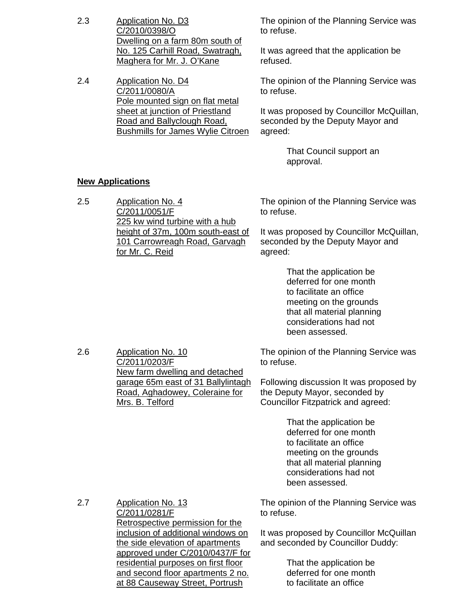2.3 Application No. D3 C/2010/0398/O Dwelling on a farm 80m south of No. 125 Carhill Road, Swatragh, Maghera for Mr. J. O'Kane The opinion of the Planning Service was to refuse. It was agreed that the application be refused. 2.4 Application No. D4 C/2011/0080/A Pole mounted sign on flat metal sheet at junction of Priestland Road and Ballyclough Road, Bushmills for James Wylie Citroen The opinion of the Planning Service was to refuse. It was proposed by Councillor McQuillan, seconded by the Deputy Mayor and agreed: That Council support an approval. **New Applications** 2.5 Application No. 4 C/2011/0051/F 225 kw wind turbine with a hub height of 37m, 100m south-east of 101 Carrowreagh Road, Garvagh for Mr. C. Reid The opinion of the Planning Service was to refuse. It was proposed by Councillor McQuillan, seconded by the Deputy Mayor and agreed: That the application be deferred for one month to facilitate an office meeting on the grounds that all material planning considerations had not been assessed. 2.6 Application No. 10 C/2011/0203/F New farm dwelling and detached garage 65m east of 31 Ballylintagh Road, Aghadowey, Coleraine for Mrs. B. Telford The opinion of the Planning Service was to refuse. Following discussion It was proposed by the Deputy Mayor, seconded by Councillor Fitzpatrick and agreed: That the application be deferred for one month to facilitate an office meeting on the grounds that all material planning considerations had not been assessed. 2.7 Application No. 13 C/2011/0281/F Retrospective permission for the inclusion of additional windows on the side elevation of apartments approved under C/2010/0437/F for residential purposes on first floor and second floor apartments 2 no. at 88 Causeway Street, Portrush The opinion of the Planning Service was to refuse. It was proposed by Councillor McQuillan and seconded by Councillor Duddy: That the application be deferred for one month to facilitate an office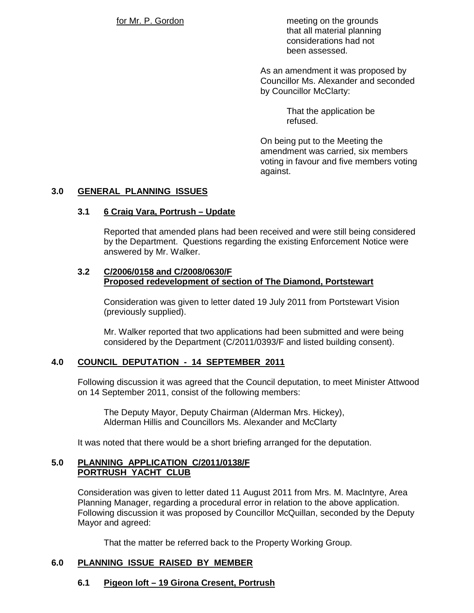for Mr. P. Gordon meeting on the grounds that all material planning considerations had not been assessed.

> As an amendment it was proposed by Councillor Ms. Alexander and seconded by Councillor McClarty:

> > That the application be refused.

On being put to the Meeting the amendment was carried, six members voting in favour and five members voting against.

# **3.0 GENERAL PLANNING ISSUES**

## **3.1 6 Craig Vara, Portrush – Update**

 Reported that amended plans had been received and were still being considered by the Department. Questions regarding the existing Enforcement Notice were answered by Mr. Walker.

#### **3.2 C/2006/0158 and C/2008/0630/F Proposed redevelopment of section of The Diamond, Portstewart**

 Consideration was given to letter dated 19 July 2011 from Portstewart Vision (previously supplied).

 Mr. Walker reported that two applications had been submitted and were being considered by the Department (C/2011/0393/F and listed building consent).

# **4.0 COUNCIL DEPUTATION - 14 SEPTEMBER 2011**

 Following discussion it was agreed that the Council deputation, to meet Minister Attwood on 14 September 2011, consist of the following members:

 The Deputy Mayor, Deputy Chairman (Alderman Mrs. Hickey), Alderman Hillis and Councillors Ms. Alexander and McClarty

It was noted that there would be a short briefing arranged for the deputation.

## **5.0 PLANNING APPLICATION C/2011/0138/F PORTRUSH YACHT CLUB**

 Consideration was given to letter dated 11 August 2011 from Mrs. M. MacIntyre, Area Planning Manager, regarding a procedural error in relation to the above application. Following discussion it was proposed by Councillor McQuillan, seconded by the Deputy Mayor and agreed:

That the matter be referred back to the Property Working Group.

# **6.0 PLANNING ISSUE RAISED BY MEMBER**

# **6.1 Pigeon loft – 19 Girona Cresent, Portrush**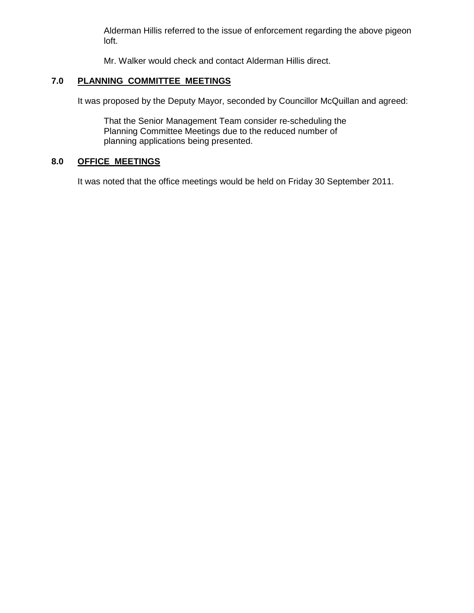Alderman Hillis referred to the issue of enforcement regarding the above pigeon loft.

Mr. Walker would check and contact Alderman Hillis direct.

# **7.0 PLANNING COMMITTEE MEETINGS**

It was proposed by the Deputy Mayor, seconded by Councillor McQuillan and agreed:

 That the Senior Management Team consider re-scheduling the Planning Committee Meetings due to the reduced number of planning applications being presented.

# **8.0 OFFICE MEETINGS**

It was noted that the office meetings would be held on Friday 30 September 2011.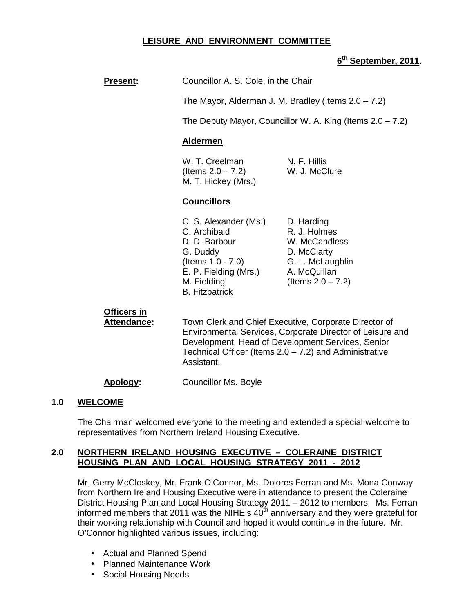## **LEISURE AND ENVIRONMENT COMMITTEE**

## **6 th September, 2011.**

| <b>Present:</b> |  | Councillor A. S. Cole, in the Chair |
|-----------------|--|-------------------------------------|
|-----------------|--|-------------------------------------|

The Mayor, Alderman J. M. Bradley (Items  $2.0 - 7.2$ )

The Deputy Mayor, Councillor W. A. King (Items 2.0 – 7.2)

#### **Aldermen**

W. T. Creelman N. F. Hillis  $($ ltems  $2.0 - 7.2)$  W. J. McClure M. T. Hickey (Mrs.)

#### **Councillors**

C. S. Alexander (Ms.) D. Harding C. Archibald R. J. Holmes D. D. Barbour W. McCandless G. Duddy D. McClarty (Items 1.0 - 7.0) G. L. McLaughlin E. P. Fielding (Mrs.) A. McQuillan M. Fielding  $($  (Items  $2.0 - 7.2)$ ) B. Fitzpatrick

### **Officers in**

**Attendance:** Town Clerk and Chief Executive, Corporate Director of Environmental Services, Corporate Director of Leisure and Development, Head of Development Services, Senior Technical Officer (Items  $2.0 - 7.2$ ) and Administrative Assistant.

**Apology:** Councillor Ms. Boyle

#### **1.0 WELCOME**

The Chairman welcomed everyone to the meeting and extended a special welcome to representatives from Northern Ireland Housing Executive.

#### **2.0 NORTHERN IRELAND HOUSING EXECUTIVE – COLERAINE DISTRICT HOUSING PLAN AND LOCAL HOUSING STRATEGY 2011 - 2012**

Mr. Gerry McCloskey, Mr. Frank O'Connor, Ms. Dolores Ferran and Ms. Mona Conway from Northern Ireland Housing Executive were in attendance to present the Coleraine District Housing Plan and Local Housing Strategy 2011 – 2012 to members. Ms. Ferran informed members that 2011 was the NIHE's  $40<sup>th</sup>$  anniversary and they were grateful for their working relationship with Council and hoped it would continue in the future. Mr. O'Connor highlighted various issues, including:

- Actual and Planned Spend
- Planned Maintenance Work
- Social Housing Needs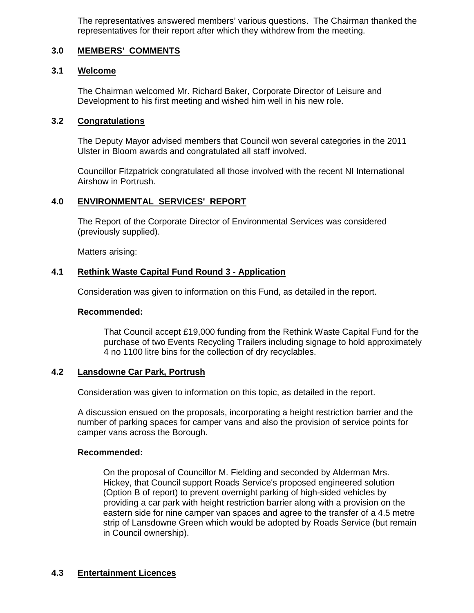The representatives answered members' various questions. The Chairman thanked the representatives for their report after which they withdrew from the meeting.

# **3.0 MEMBERS' COMMENTS**

### **3.1 Welcome**

 The Chairman welcomed Mr. Richard Baker, Corporate Director of Leisure and Development to his first meeting and wished him well in his new role.

#### **3.2 Congratulations**

The Deputy Mayor advised members that Council won several categories in the 2011 Ulster in Bloom awards and congratulated all staff involved.

Councillor Fitzpatrick congratulated all those involved with the recent NI International Airshow in Portrush.

### **4.0 ENVIRONMENTAL SERVICES' REPORT**

 The Report of the Corporate Director of Environmental Services was considered (previously supplied).

Matters arising:

### **4.1 Rethink Waste Capital Fund Round 3 - Application**

Consideration was given to information on this Fund, as detailed in the report.

#### **Recommended:**

 That Council accept £19,000 funding from the Rethink Waste Capital Fund for the purchase of two Events Recycling Trailers including signage to hold approximately 4 no 1100 litre bins for the collection of dry recyclables.

### **4.2 Lansdowne Car Park, Portrush**

Consideration was given to information on this topic, as detailed in the report.

A discussion ensued on the proposals, incorporating a height restriction barrier and the number of parking spaces for camper vans and also the provision of service points for camper vans across the Borough.

### **Recommended:**

 On the proposal of Councillor M. Fielding and seconded by Alderman Mrs. Hickey, that Council support Roads Service's proposed engineered solution (Option B of report) to prevent overnight parking of high-sided vehicles by providing a car park with height restriction barrier along with a provision on the eastern side for nine camper van spaces and agree to the transfer of a 4.5 metre strip of Lansdowne Green which would be adopted by Roads Service (but remain in Council ownership).

### **4.3 Entertainment Licences**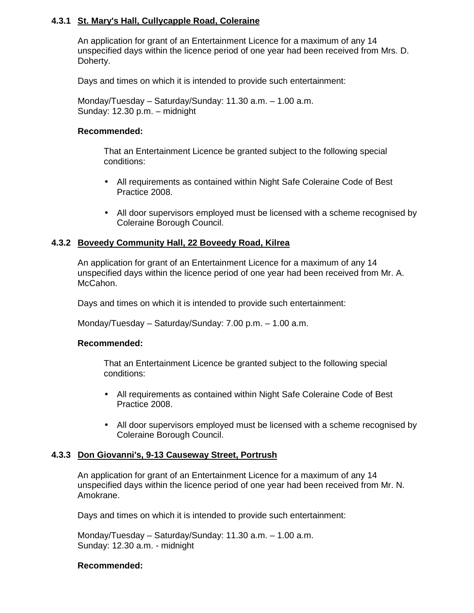## **4.3.1 St. Mary's Hall, Cullycapple Road, Coleraine**

An application for grant of an Entertainment Licence for a maximum of any 14 unspecified days within the licence period of one year had been received from Mrs. D. Doherty.

Days and times on which it is intended to provide such entertainment:

 Monday/Tuesday – Saturday/Sunday: 11.30 a.m. – 1.00 a.m. Sunday: 12.30 p.m. – midnight

#### **Recommended:**

 That an Entertainment Licence be granted subject to the following special conditions:

- All requirements as contained within Night Safe Coleraine Code of Best Practice 2008.
- All door supervisors employed must be licensed with a scheme recognised by Coleraine Borough Council.

### **4.3.2 Boveedy Community Hall, 22 Boveedy Road, Kilrea**

An application for grant of an Entertainment Licence for a maximum of any 14 unspecified days within the licence period of one year had been received from Mr. A. McCahon.

Days and times on which it is intended to provide such entertainment:

Monday/Tuesday – Saturday/Sunday: 7.00 p.m. – 1.00 a.m.

### **Recommended:**

 That an Entertainment Licence be granted subject to the following special conditions:

- All requirements as contained within Night Safe Coleraine Code of Best Practice 2008.
- All door supervisors employed must be licensed with a scheme recognised by Coleraine Borough Council.

### **4.3.3 Don Giovanni's, 9-13 Causeway Street, Portrush**

An application for grant of an Entertainment Licence for a maximum of any 14 unspecified days within the licence period of one year had been received from Mr. N. Amokrane.

Days and times on which it is intended to provide such entertainment:

 Monday/Tuesday – Saturday/Sunday: 11.30 a.m. – 1.00 a.m. Sunday: 12.30 a.m. - midnight

#### **Recommended:**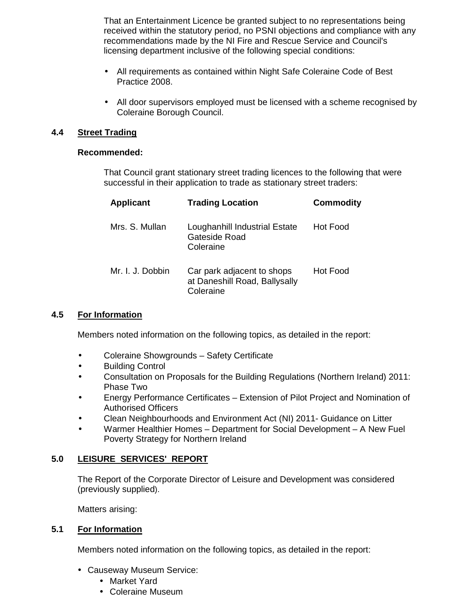That an Entertainment Licence be granted subject to no representations being received within the statutory period, no PSNI objections and compliance with any recommendations made by the NI Fire and Rescue Service and Council's licensing department inclusive of the following special conditions:

- All requirements as contained within Night Safe Coleraine Code of Best Practice 2008.
- All door supervisors employed must be licensed with a scheme recognised by Coleraine Borough Council.

## **4.4 Street Trading**

### **Recommended:**

 That Council grant stationary street trading licences to the following that were successful in their application to trade as stationary street traders:

| Applicant        | <b>Trading Location</b>                                                  | <b>Commodity</b> |
|------------------|--------------------------------------------------------------------------|------------------|
| Mrs. S. Mullan   | Loughanhill Industrial Estate<br>Gateside Road<br>Coleraine              | Hot Food         |
| Mr. I. J. Dobbin | Car park adjacent to shops<br>at Daneshill Road, Ballysally<br>Coleraine | Hot Food         |

### **4.5 For Information**

Members noted information on the following topics, as detailed in the report:

- Coleraine Showgrounds Safety Certificate
- Building Control
- Consultation on Proposals for the Building Regulations (Northern Ireland) 2011: Phase Two
- Energy Performance Certificates Extension of Pilot Project and Nomination of Authorised Officers
- Clean Neighbourhoods and Environment Act (NI) 2011- Guidance on Litter
- Warmer Healthier Homes Department for Social Development A New Fuel Poverty Strategy for Northern Ireland

# **5.0 LEISURE SERVICES' REPORT**

 The Report of the Corporate Director of Leisure and Development was considered (previously supplied).

Matters arising:

### **5.1 For Information**

Members noted information on the following topics, as detailed in the report:

- Causeway Museum Service:
	- Market Yard
	- Coleraine Museum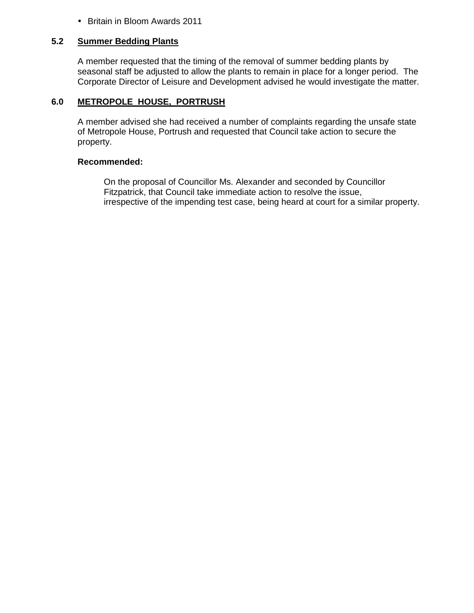• Britain in Bloom Awards 2011

#### **5.2 Summer Bedding Plants**

A member requested that the timing of the removal of summer bedding plants by seasonal staff be adjusted to allow the plants to remain in place for a longer period. The Corporate Director of Leisure and Development advised he would investigate the matter.

### **6.0 METROPOLE HOUSE, PORTRUSH**

A member advised she had received a number of complaints regarding the unsafe state of Metropole House, Portrush and requested that Council take action to secure the property.

### **Recommended:**

 On the proposal of Councillor Ms. Alexander and seconded by Councillor Fitzpatrick, that Council take immediate action to resolve the issue, irrespective of the impending test case, being heard at court for a similar property.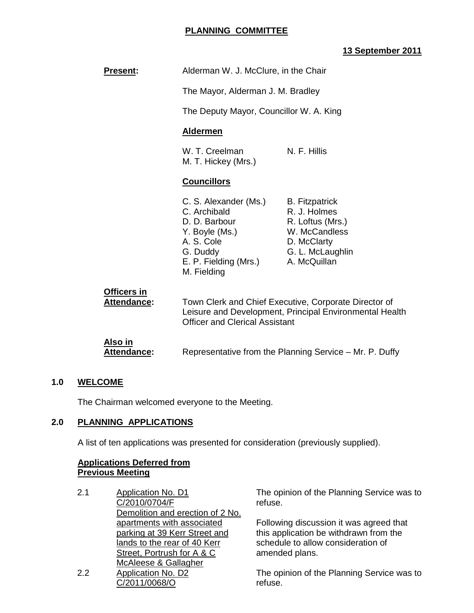## **PLANNING COMMITTEE**

# **13 September 2011**

| <b>Present:</b>                      | Alderman W. J. McClure, in the Chair                                                                                                                      |                                                                                                                               |  |
|--------------------------------------|-----------------------------------------------------------------------------------------------------------------------------------------------------------|-------------------------------------------------------------------------------------------------------------------------------|--|
|                                      | The Mayor, Alderman J. M. Bradley                                                                                                                         |                                                                                                                               |  |
|                                      | The Deputy Mayor, Councillor W. A. King                                                                                                                   |                                                                                                                               |  |
|                                      | <b>Aldermen</b>                                                                                                                                           |                                                                                                                               |  |
|                                      | W. T. Creelman<br>N. F. Hillis<br>M. T. Hickey (Mrs.)                                                                                                     |                                                                                                                               |  |
|                                      | <b>Councillors</b>                                                                                                                                        |                                                                                                                               |  |
|                                      | C. S. Alexander (Ms.)<br>C. Archibald<br>D. D. Barbour<br>Y. Boyle (Ms.)<br>A. S. Cole<br>G. Duddy<br>E. P. Fielding (Mrs.)<br>M. Fielding                | <b>B.</b> Fitzpatrick<br>R. J. Holmes<br>R. Loftus (Mrs.)<br>W. McCandless<br>D. McClarty<br>G. L. McLaughlin<br>A. McQuillan |  |
| Officers in<br>Attendance:           | Town Clerk and Chief Executive, Corporate Director of<br>Leisure and Development, Principal Environmental Health<br><b>Officer and Clerical Assistant</b> |                                                                                                                               |  |
| <u>Also in</u><br><b>Attendance:</b> | Representative from the Planning Service - Mr. P. Duffy                                                                                                   |                                                                                                                               |  |

### **1.0 WELCOME**

The Chairman welcomed everyone to the Meeting.

## **2.0 PLANNING APPLICATIONS**

A list of ten applications was presented for consideration (previously supplied).

# **Applications Deferred from Previous Meeting**

2.1 Application No. D1 C/2010/0704/F Demolition and erection of 2 No. apartments with associated parking at 39 Kerr Street and lands to the rear of 40 Kerr Street, Portrush for A & C McAleese & Gallagher 2.2 Application No. D2 C/2011/0068/O

The opinion of the Planning Service was to refuse.

Following discussion it was agreed that this application be withdrawn from the schedule to allow consideration of amended plans.

The opinion of the Planning Service was to refuse.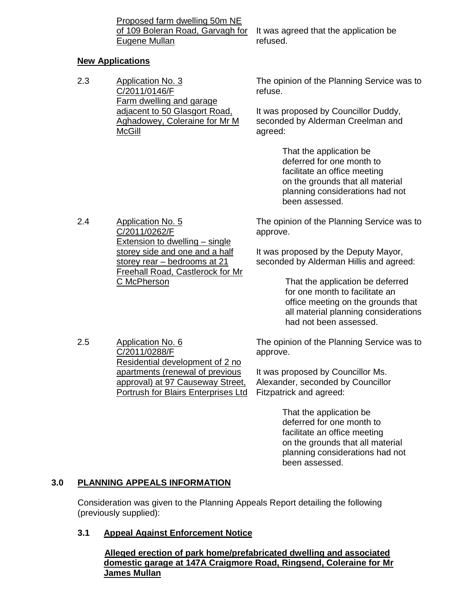Proposed farm dwelling 50m NE Eugene Mullan

of 109 Boleran Road, Garvagh for It was agreed that the application be refused.

## **New Applications**

2.3 Application No. 3 C/2011/0146/F Farm dwelling and garage adjacent to 50 Glasgort Road, Aghadowey, Coleraine for Mr M McGill

The opinion of the Planning Service was to refuse.

It was proposed by Councillor Duddy, seconded by Alderman Creelman and agreed:

> That the application be deferred for one month to facilitate an office meeting on the grounds that all material planning considerations had not been assessed.

2.4 Application No. 5 C/2011/0262/F Extension to dwelling – single storey side and one and a half storey rear – bedrooms at 21 Freehall Road, Castlerock for Mr C McPherson

The opinion of the Planning Service was to approve.

It was proposed by the Deputy Mayor, seconded by Alderman Hillis and agreed:

> That the application be deferred for one month to facilitate an office meeting on the grounds that all material planning considerations had not been assessed.

2.5 Application No. 6 C/2011/0288/F Residential development of 2 no apartments (renewal of previous approval) at 97 Causeway Street, Portrush for Blairs Enterprises Ltd

The opinion of the Planning Service was to approve.

It was proposed by Councillor Ms. Alexander, seconded by Councillor Fitzpatrick and agreed:

> That the application be deferred for one month to facilitate an office meeting on the grounds that all material planning considerations had not been assessed.

# **3.0 PLANNING APPEALS INFORMATION**

Consideration was given to the Planning Appeals Report detailing the following (previously supplied):

# **3.1 Appeal Against Enforcement Notice**

 **Alleged erection of park home/prefabricated dwelling and associated domestic garage at 147A Craigmore Road, Ringsend, Coleraine for Mr James Mullan**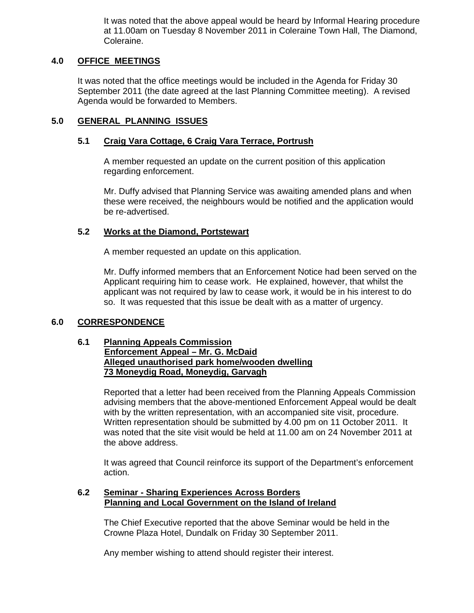It was noted that the above appeal would be heard by Informal Hearing procedure at 11.00am on Tuesday 8 November 2011 in Coleraine Town Hall, The Diamond, Coleraine.

## **4.0 OFFICE MEETINGS**

It was noted that the office meetings would be included in the Agenda for Friday 30 September 2011 (the date agreed at the last Planning Committee meeting). A revised Agenda would be forwarded to Members.

## **5.0 GENERAL PLANNING ISSUES**

### **5.1 Craig Vara Cottage, 6 Craig Vara Terrace, Portrush**

 A member requested an update on the current position of this application regarding enforcement.

Mr. Duffy advised that Planning Service was awaiting amended plans and when these were received, the neighbours would be notified and the application would be re-advertised.

#### **5.2 Works at the Diamond, Portstewart**

A member requested an update on this application.

 Mr. Duffy informed members that an Enforcement Notice had been served on the Applicant requiring him to cease work. He explained, however, that whilst the applicant was not required by law to cease work, it would be in his interest to do so. It was requested that this issue be dealt with as a matter of urgency.

### **6.0 CORRESPONDENCE**

#### **6.1 Planning Appeals Commission Enforcement Appeal – Mr. G. McDaid Alleged unauthorised park home/wooden dwelling 73 Moneydig Road, Moneydig, Garvagh**

Reported that a letter had been received from the Planning Appeals Commission advising members that the above-mentioned Enforcement Appeal would be dealt with by the written representation, with an accompanied site visit, procedure. Written representation should be submitted by 4.00 pm on 11 October 2011. It was noted that the site visit would be held at 11.00 am on 24 November 2011 at the above address.

It was agreed that Council reinforce its support of the Department's enforcement action.

#### **6.2 Seminar - Sharing Experiences Across Borders Planning and Local Government on the Island of Ireland**

The Chief Executive reported that the above Seminar would be held in the Crowne Plaza Hotel, Dundalk on Friday 30 September 2011.

Any member wishing to attend should register their interest.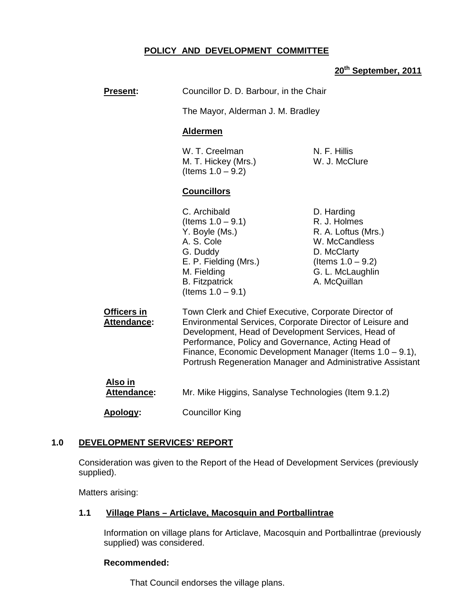# **POLICY AND DEVELOPMENT COMMITTEE**

# **20th September, 2011**

| <b>Present:</b>                   | Councillor D. D. Barbour, in the Chair                                                                                                                                                                                                                                                                                                                   |                                                                                                                                               |  |
|-----------------------------------|----------------------------------------------------------------------------------------------------------------------------------------------------------------------------------------------------------------------------------------------------------------------------------------------------------------------------------------------------------|-----------------------------------------------------------------------------------------------------------------------------------------------|--|
|                                   | The Mayor, Alderman J. M. Bradley                                                                                                                                                                                                                                                                                                                        |                                                                                                                                               |  |
|                                   | <b>Aldermen</b>                                                                                                                                                                                                                                                                                                                                          |                                                                                                                                               |  |
|                                   | W. T. Creelman<br>M. T. Hickey (Mrs.)<br>(Items $1.0 - 9.2$ )                                                                                                                                                                                                                                                                                            | N. F. Hillis<br>W. J. McClure                                                                                                                 |  |
|                                   | <b>Councillors</b>                                                                                                                                                                                                                                                                                                                                       |                                                                                                                                               |  |
|                                   | C. Archibald<br>(Items $1.0 - 9.1$ )<br>Y. Boyle (Ms.)<br>A. S. Cole<br>G. Duddy<br>E. P. Fielding (Mrs.)<br>M. Fielding<br><b>B.</b> Fitzpatrick<br>(Items $1.0 - 9.1$ )                                                                                                                                                                                | D. Harding<br>R. J. Holmes<br>R. A. Loftus (Mrs.)<br>W. McCandless<br>D. McClarty<br>(Items $1.0 - 9.2$ )<br>G. L. McLaughlin<br>A. McQuillan |  |
| Officers in<br><b>Attendance:</b> | Town Clerk and Chief Executive, Corporate Director of<br>Environmental Services, Corporate Director of Leisure and<br>Development, Head of Development Services, Head of<br>Performance, Policy and Governance, Acting Head of<br>Finance, Economic Development Manager (Items 1.0 - 9.1),<br>Portrush Regeneration Manager and Administrative Assistant |                                                                                                                                               |  |
| <u>Also in</u><br>Attendance:     | Mr. Mike Higgins, Sanalyse Technologies (Item 9.1.2)                                                                                                                                                                                                                                                                                                     |                                                                                                                                               |  |
| Apology:                          | <b>Councillor King</b>                                                                                                                                                                                                                                                                                                                                   |                                                                                                                                               |  |

### **1.0 DEVELOPMENT SERVICES' REPORT**

 Consideration was given to the Report of the Head of Development Services (previously supplied).

Matters arising:

# **1.1 Village Plans – Articlave, Macosquin and Portballintrae**

Information on village plans for Articlave, Macosquin and Portballintrae (previously supplied) was considered.

#### **Recommended:**

That Council endorses the village plans.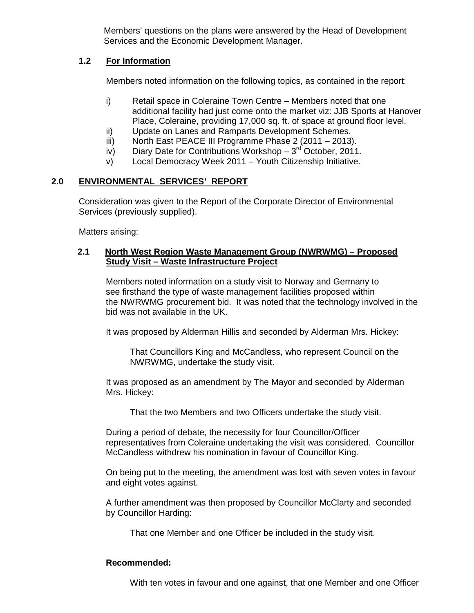Members' questions on the plans were answered by the Head of Development Services and the Economic Development Manager.

## **1.2 For Information**

Members noted information on the following topics, as contained in the report:

- i) Retail space in Coleraine Town Centre Members noted that one additional facility had just come onto the market viz: JJB Sports at Hanover Place, Coleraine, providing 17,000 sq. ft. of space at ground floor level.
- ii) Update on Lanes and Ramparts Development Schemes.
- iii) North East PEACE III Programme Phase 2 (2011 2013).
- iv) Diary Date for Contributions Workshop  $-3^{rd}$  October, 2011.
- v) Local Democracy Week 2011 Youth Citizenship Initiative.

# **2.0 ENVIRONMENTAL SERVICES' REPORT**

Consideration was given to the Report of the Corporate Director of Environmental Services (previously supplied).

Matters arising:

## **2.1 North West Region Waste Management Group (NWRWMG) – Proposed Study Visit – Waste Infrastructure Project**

Members noted information on a study visit to Norway and Germany to see firsthand the type of waste management facilities proposed within the NWRWMG procurement bid. It was noted that the technology involved in the bid was not available in the UK.

It was proposed by Alderman Hillis and seconded by Alderman Mrs. Hickey:

 That Councillors King and McCandless, who represent Council on the NWRWMG, undertake the study visit.

 It was proposed as an amendment by The Mayor and seconded by Alderman Mrs. Hickey:

That the two Members and two Officers undertake the study visit.

 During a period of debate, the necessity for four Councillor/Officer representatives from Coleraine undertaking the visit was considered. Councillor McCandless withdrew his nomination in favour of Councillor King.

 On being put to the meeting, the amendment was lost with seven votes in favour and eight votes against.

 A further amendment was then proposed by Councillor McClarty and seconded by Councillor Harding:

That one Member and one Officer be included in the study visit.

# **Recommended:**

With ten votes in favour and one against, that one Member and one Officer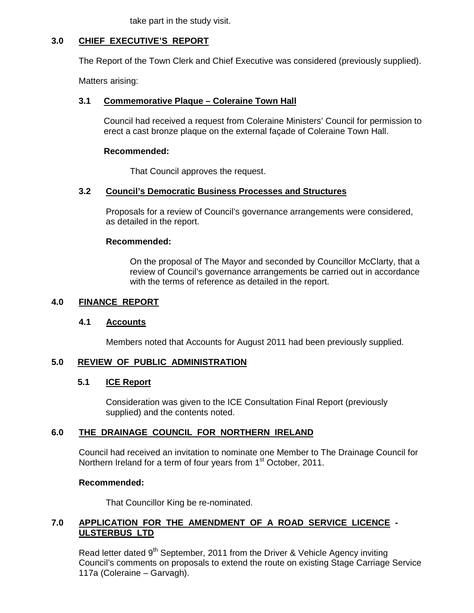take part in the study visit.

## **3.0 CHIEF EXECUTIVE'S REPORT**

The Report of the Town Clerk and Chief Executive was considered (previously supplied).

Matters arising:

## **3.1 Commemorative Plaque – Coleraine Town Hall**

Council had received a request from Coleraine Ministers' Council for permission to erect a cast bronze plaque on the external façade of Coleraine Town Hall.

## **Recommended:**

That Council approves the request.

## **3.2 Council's Democratic Business Processes and Structures**

Proposals for a review of Council's governance arrangements were considered, as detailed in the report.

### **Recommended:**

 On the proposal of The Mayor and seconded by Councillor McClarty, that a review of Council's governance arrangements be carried out in accordance with the terms of reference as detailed in the report.

## **4.0 FINANCE REPORT**

### **4.1 Accounts**

Members noted that Accounts for August 2011 had been previously supplied.

### **5.0 REVIEW OF PUBLIC ADMINISTRATION**

### **5.1 ICE Report**

 Consideration was given to the ICE Consultation Final Report (previously supplied) and the contents noted.

### **6.0 THE DRAINAGE COUNCIL FOR NORTHERN IRELAND**

Council had received an invitation to nominate one Member to The Drainage Council for Northern Ireland for a term of four years from 1<sup>st</sup> October, 2011.

### **Recommended:**

That Councillor King be re-nominated.

## **7.0 APPLICATION FOR THE AMENDMENT OF A ROAD SERVICE LICENCE - ULSTERBUS LTD**

Read letter dated 9<sup>th</sup> September, 2011 from the Driver & Vehicle Agency inviting Council's comments on proposals to extend the route on existing Stage Carriage Service 117a (Coleraine – Garvagh).